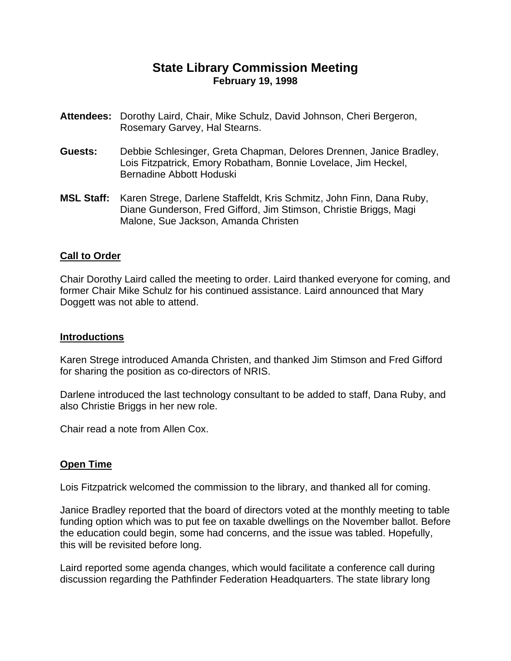# **State Library Commission Meeting February 19, 1998**

- **Attendees:** Dorothy Laird, Chair, Mike Schulz, David Johnson, Cheri Bergeron, Rosemary Garvey, Hal Stearns.
- **Guests:** Debbie Schlesinger, Greta Chapman, Delores Drennen, Janice Bradley, Lois Fitzpatrick, Emory Robatham, Bonnie Lovelace, Jim Heckel, Bernadine Abbott Hoduski
- **MSL Staff:** Karen Strege, Darlene Staffeldt, Kris Schmitz, John Finn, Dana Ruby, Diane Gunderson, Fred Gifford, Jim Stimson, Christie Briggs, Magi Malone, Sue Jackson, Amanda Christen

### **Call to Order**

Chair Dorothy Laird called the meeting to order. Laird thanked everyone for coming, and former Chair Mike Schulz for his continued assistance. Laird announced that Mary Doggett was not able to attend.

### **Introductions**

Karen Strege introduced Amanda Christen, and thanked Jim Stimson and Fred Gifford for sharing the position as co-directors of NRIS.

Darlene introduced the last technology consultant to be added to staff, Dana Ruby, and also Christie Briggs in her new role.

Chair read a note from Allen Cox.

### **Open Time**

Lois Fitzpatrick welcomed the commission to the library, and thanked all for coming.

Janice Bradley reported that the board of directors voted at the monthly meeting to table funding option which was to put fee on taxable dwellings on the November ballot. Before the education could begin, some had concerns, and the issue was tabled. Hopefully, this will be revisited before long.

Laird reported some agenda changes, which would facilitate a conference call during discussion regarding the Pathfinder Federation Headquarters. The state library long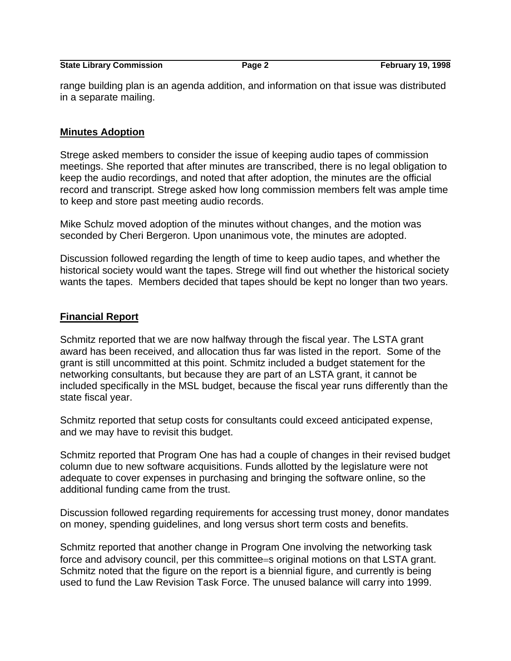**State Library Commission** Page 2 February 19, 1998

range building plan is an agenda addition, and information on that issue was distributed in a separate mailing.

#### **Minutes Adoption**

Strege asked members to consider the issue of keeping audio tapes of commission meetings. She reported that after minutes are transcribed, there is no legal obligation to keep the audio recordings, and noted that after adoption, the minutes are the official record and transcript. Strege asked how long commission members felt was ample time to keep and store past meeting audio records.

Mike Schulz moved adoption of the minutes without changes, and the motion was seconded by Cheri Bergeron. Upon unanimous vote, the minutes are adopted.

Discussion followed regarding the length of time to keep audio tapes, and whether the historical society would want the tapes. Strege will find out whether the historical society wants the tapes. Members decided that tapes should be kept no longer than two years.

#### **Financial Report**

Schmitz reported that we are now halfway through the fiscal year. The LSTA grant award has been received, and allocation thus far was listed in the report. Some of the grant is still uncommitted at this point. Schmitz included a budget statement for the networking consultants, but because they are part of an LSTA grant, it cannot be included specifically in the MSL budget, because the fiscal year runs differently than the state fiscal year.

Schmitz reported that setup costs for consultants could exceed anticipated expense, and we may have to revisit this budget.

Schmitz reported that Program One has had a couple of changes in their revised budget column due to new software acquisitions. Funds allotted by the legislature were not adequate to cover expenses in purchasing and bringing the software online, so the additional funding came from the trust.

Discussion followed regarding requirements for accessing trust money, donor mandates on money, spending guidelines, and long versus short term costs and benefits.

Schmitz reported that another change in Program One involving the networking task force and advisory council, per this committee=s original motions on that LSTA grant. Schmitz noted that the figure on the report is a biennial figure, and currently is being used to fund the Law Revision Task Force. The unused balance will carry into 1999.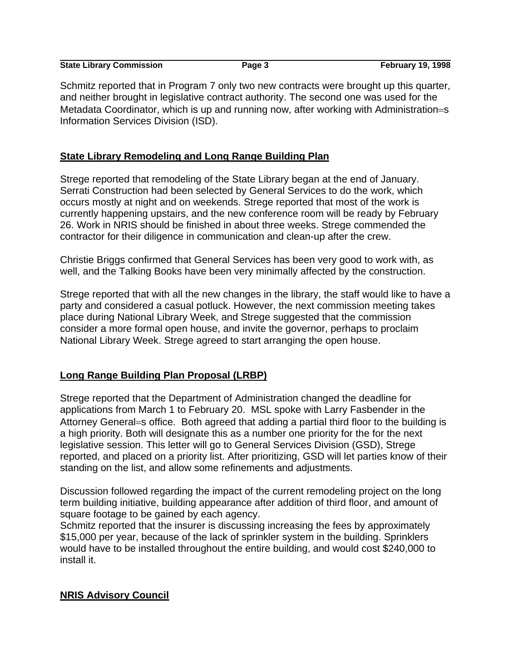| <b>State Library Commission</b> | Page 3 | <b>February 19, 1998</b> |
|---------------------------------|--------|--------------------------|

Schmitz reported that in Program 7 only two new contracts were brought up this quarter, and neither brought in legislative contract authority. The second one was used for the Metadata Coordinator, which is up and running now, after working with Administration=s Information Services Division (ISD).

### **State Library Remodeling and Long Range Building Plan**

Strege reported that remodeling of the State Library began at the end of January. Serrati Construction had been selected by General Services to do the work, which occurs mostly at night and on weekends. Strege reported that most of the work is currently happening upstairs, and the new conference room will be ready by February 26. Work in NRIS should be finished in about three weeks. Strege commended the contractor for their diligence in communication and clean-up after the crew.

Christie Briggs confirmed that General Services has been very good to work with, as well, and the Talking Books have been very minimally affected by the construction.

Strege reported that with all the new changes in the library, the staff would like to have a party and considered a casual potluck. However, the next commission meeting takes place during National Library Week, and Strege suggested that the commission consider a more formal open house, and invite the governor, perhaps to proclaim National Library Week. Strege agreed to start arranging the open house.

## **Long Range Building Plan Proposal (LRBP)**

Strege reported that the Department of Administration changed the deadline for applications from March 1 to February 20. MSL spoke with Larry Fasbender in the Attorney General=s office. Both agreed that adding a partial third floor to the building is a high priority. Both will designate this as a number one priority for the for the next legislative session. This letter will go to General Services Division (GSD), Strege reported, and placed on a priority list. After prioritizing, GSD will let parties know of their standing on the list, and allow some refinements and adjustments.

Discussion followed regarding the impact of the current remodeling project on the long term building initiative, building appearance after addition of third floor, and amount of square footage to be gained by each agency.

Schmitz reported that the insurer is discussing increasing the fees by approximately \$15,000 per year, because of the lack of sprinkler system in the building. Sprinklers would have to be installed throughout the entire building, and would cost \$240,000 to install it.

## **NRIS Advisory Council**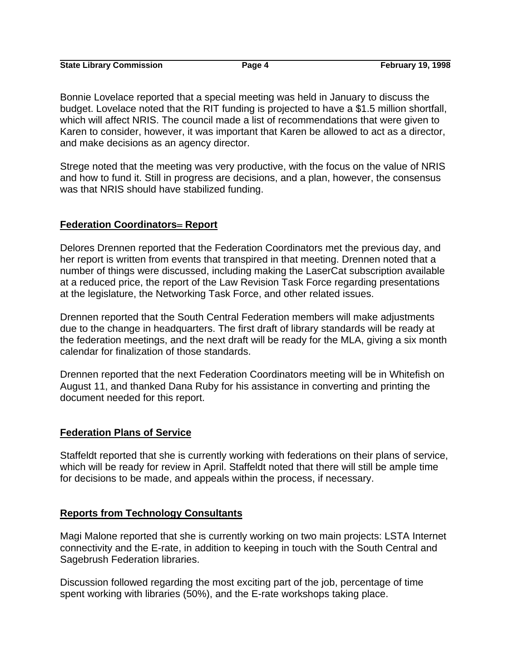**State Library Commission 2008 Page 4** Page 4 February 19, 1998

Bonnie Lovelace reported that a special meeting was held in January to discuss the budget. Lovelace noted that the RIT funding is projected to have a \$1.5 million shortfall, which will affect NRIS. The council made a list of recommendations that were given to Karen to consider, however, it was important that Karen be allowed to act as a director, and make decisions as an agency director.

Strege noted that the meeting was very productive, with the focus on the value of NRIS and how to fund it. Still in progress are decisions, and a plan, however, the consensus was that NRIS should have stabilized funding.

### **Federation Coordinators**= **Report**

Delores Drennen reported that the Federation Coordinators met the previous day, and her report is written from events that transpired in that meeting. Drennen noted that a number of things were discussed, including making the LaserCat subscription available at a reduced price, the report of the Law Revision Task Force regarding presentations at the legislature, the Networking Task Force, and other related issues.

Drennen reported that the South Central Federation members will make adjustments due to the change in headquarters. The first draft of library standards will be ready at the federation meetings, and the next draft will be ready for the MLA, giving a six month calendar for finalization of those standards.

Drennen reported that the next Federation Coordinators meeting will be in Whitefish on August 11, and thanked Dana Ruby for his assistance in converting and printing the document needed for this report.

## **Federation Plans of Service**

Staffeldt reported that she is currently working with federations on their plans of service, which will be ready for review in April. Staffeldt noted that there will still be ample time for decisions to be made, and appeals within the process, if necessary.

### **Reports from Technology Consultants**

Magi Malone reported that she is currently working on two main projects: LSTA Internet connectivity and the E-rate, in addition to keeping in touch with the South Central and Sagebrush Federation libraries.

Discussion followed regarding the most exciting part of the job, percentage of time spent working with libraries (50%), and the E-rate workshops taking place.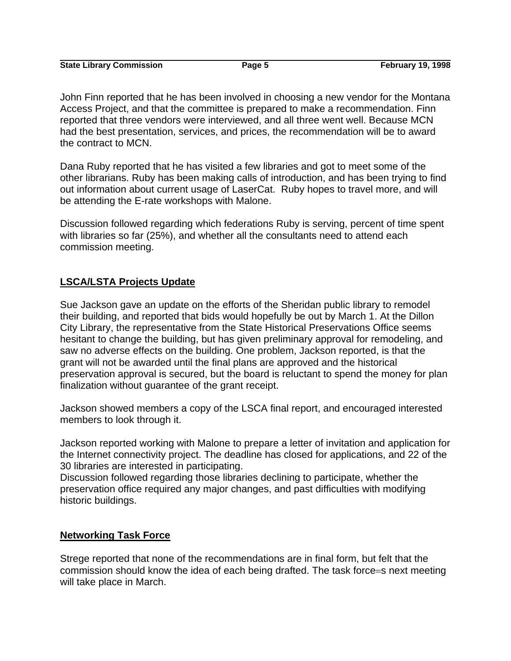**State Library Commission Commission Page 5 February 19, 1998** 

John Finn reported that he has been involved in choosing a new vendor for the Montana Access Project, and that the committee is prepared to make a recommendation. Finn reported that three vendors were interviewed, and all three went well. Because MCN had the best presentation, services, and prices, the recommendation will be to award the contract to MCN.

Dana Ruby reported that he has visited a few libraries and got to meet some of the other librarians. Ruby has been making calls of introduction, and has been trying to find out information about current usage of LaserCat. Ruby hopes to travel more, and will be attending the E-rate workshops with Malone.

Discussion followed regarding which federations Ruby is serving, percent of time spent with libraries so far (25%), and whether all the consultants need to attend each commission meeting.

## **LSCA/LSTA Projects Update**

Sue Jackson gave an update on the efforts of the Sheridan public library to remodel their building, and reported that bids would hopefully be out by March 1. At the Dillon City Library, the representative from the State Historical Preservations Office seems hesitant to change the building, but has given preliminary approval for remodeling, and saw no adverse effects on the building. One problem, Jackson reported, is that the grant will not be awarded until the final plans are approved and the historical preservation approval is secured, but the board is reluctant to spend the money for plan finalization without guarantee of the grant receipt.

Jackson showed members a copy of the LSCA final report, and encouraged interested members to look through it.

Jackson reported working with Malone to prepare a letter of invitation and application for the Internet connectivity project. The deadline has closed for applications, and 22 of the 30 libraries are interested in participating.

Discussion followed regarding those libraries declining to participate, whether the preservation office required any major changes, and past difficulties with modifying historic buildings.

## **Networking Task Force**

Strege reported that none of the recommendations are in final form, but felt that the commission should know the idea of each being drafted. The task force=s next meeting will take place in March.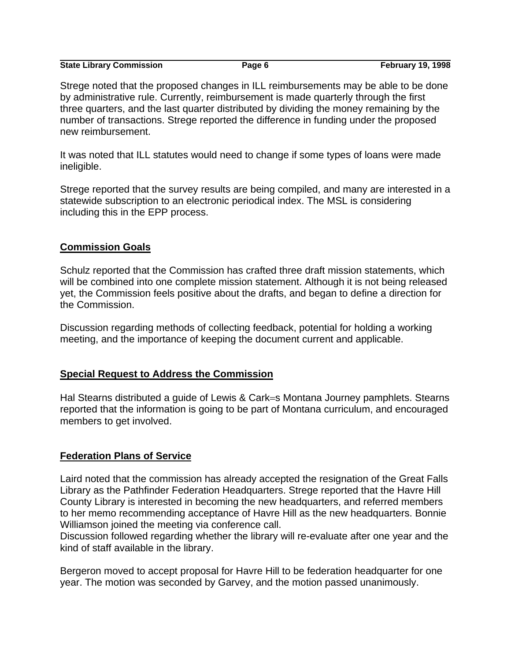| <b>State Library Commission</b> | Page 6 | <b>February 19, 1998</b> |
|---------------------------------|--------|--------------------------|

Strege noted that the proposed changes in ILL reimbursements may be able to be done by administrative rule. Currently, reimbursement is made quarterly through the first three quarters, and the last quarter distributed by dividing the money remaining by the number of transactions. Strege reported the difference in funding under the proposed new reimbursement.

It was noted that ILL statutes would need to change if some types of loans were made ineligible.

Strege reported that the survey results are being compiled, and many are interested in a statewide subscription to an electronic periodical index. The MSL is considering including this in the EPP process.

### **Commission Goals**

Schulz reported that the Commission has crafted three draft mission statements, which will be combined into one complete mission statement. Although it is not being released yet, the Commission feels positive about the drafts, and began to define a direction for the Commission.

Discussion regarding methods of collecting feedback, potential for holding a working meeting, and the importance of keeping the document current and applicable.

### **Special Request to Address the Commission**

Hal Stearns distributed a guide of Lewis & Cark=s Montana Journey pamphlets. Stearns reported that the information is going to be part of Montana curriculum, and encouraged members to get involved.

### **Federation Plans of Service**

Laird noted that the commission has already accepted the resignation of the Great Falls Library as the Pathfinder Federation Headquarters. Strege reported that the Havre Hill County Library is interested in becoming the new headquarters, and referred members to her memo recommending acceptance of Havre Hill as the new headquarters. Bonnie Williamson joined the meeting via conference call.

Discussion followed regarding whether the library will re-evaluate after one year and the kind of staff available in the library.

Bergeron moved to accept proposal for Havre Hill to be federation headquarter for one year. The motion was seconded by Garvey, and the motion passed unanimously.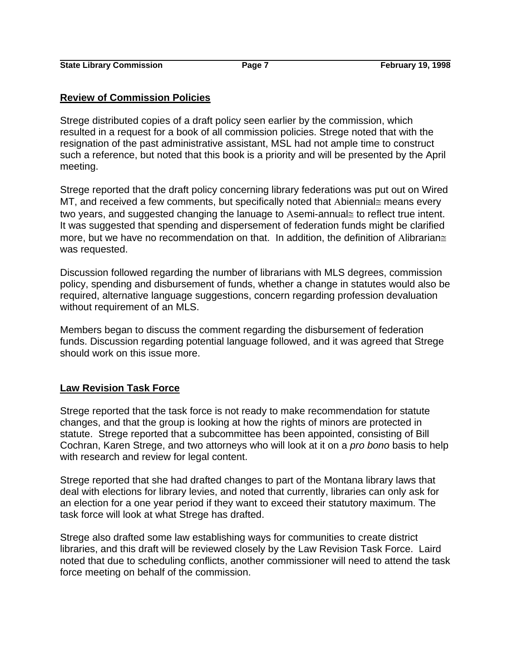### **Review of Commission Policies**

Strege distributed copies of a draft policy seen earlier by the commission, which resulted in a request for a book of all commission policies. Strege noted that with the resignation of the past administrative assistant, MSL had not ample time to construct such a reference, but noted that this book is a priority and will be presented by the April meeting.

Strege reported that the draft policy concerning library federations was put out on Wired MT, and received a few comments, but specifically noted that Abiennial≅ means every two years, and suggested changing the lanuage to Asemi-annual≅ to reflect true intent. It was suggested that spending and dispersement of federation funds might be clarified more, but we have no recommendation on that. In addition, the definition of Alibrarian≅ was requested.

Discussion followed regarding the number of librarians with MLS degrees, commission policy, spending and disbursement of funds, whether a change in statutes would also be required, alternative language suggestions, concern regarding profession devaluation without requirement of an MLS.

Members began to discuss the comment regarding the disbursement of federation funds. Discussion regarding potential language followed, and it was agreed that Strege should work on this issue more.

## **Law Revision Task Force**

Strege reported that the task force is not ready to make recommendation for statute changes, and that the group is looking at how the rights of minors are protected in statute. Strege reported that a subcommittee has been appointed, consisting of Bill Cochran, Karen Strege, and two attorneys who will look at it on a *pro bono* basis to help with research and review for legal content.

Strege reported that she had drafted changes to part of the Montana library laws that deal with elections for library levies, and noted that currently, libraries can only ask for an election for a one year period if they want to exceed their statutory maximum. The task force will look at what Strege has drafted.

Strege also drafted some law establishing ways for communities to create district libraries, and this draft will be reviewed closely by the Law Revision Task Force. Laird noted that due to scheduling conflicts, another commissioner will need to attend the task force meeting on behalf of the commission.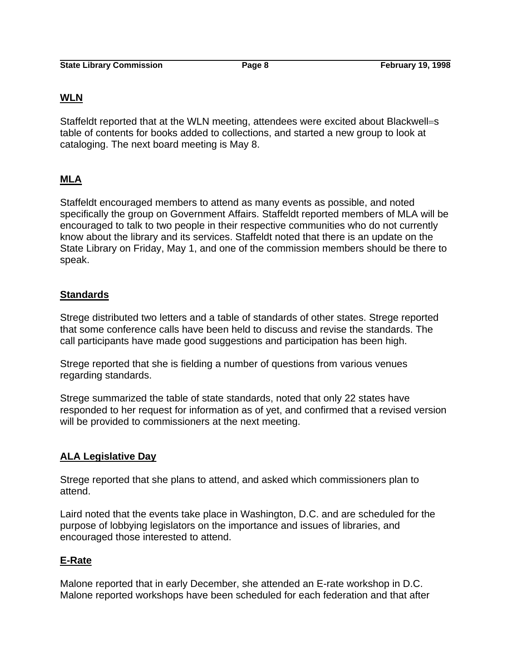## **WLN**

Staffeldt reported that at the WLN meeting, attendees were excited about Blackwell=s table of contents for books added to collections, and started a new group to look at cataloging. The next board meeting is May 8.

# **MLA**

Staffeldt encouraged members to attend as many events as possible, and noted specifically the group on Government Affairs. Staffeldt reported members of MLA will be encouraged to talk to two people in their respective communities who do not currently know about the library and its services. Staffeldt noted that there is an update on the State Library on Friday, May 1, and one of the commission members should be there to speak.

## **Standards**

Strege distributed two letters and a table of standards of other states. Strege reported that some conference calls have been held to discuss and revise the standards. The call participants have made good suggestions and participation has been high.

Strege reported that she is fielding a number of questions from various venues regarding standards.

Strege summarized the table of state standards, noted that only 22 states have responded to her request for information as of yet, and confirmed that a revised version will be provided to commissioners at the next meeting.

# **ALA Legislative Day**

Strege reported that she plans to attend, and asked which commissioners plan to attend.

Laird noted that the events take place in Washington, D.C. and are scheduled for the purpose of lobbying legislators on the importance and issues of libraries, and encouraged those interested to attend.

## **E-Rate**

Malone reported that in early December, she attended an E-rate workshop in D.C. Malone reported workshops have been scheduled for each federation and that after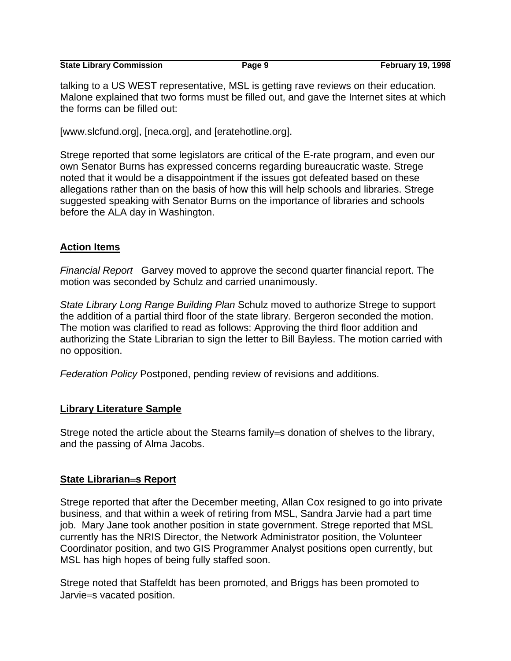**State Library Commission Commission Page 9 February 19, 1998** 

talking to a US WEST representative, MSL is getting rave reviews on their education. Malone explained that two forms must be filled out, and gave the Internet sites at which the forms can be filled out:

[www.slcfund.org], [neca.org], and [eratehotline.org].

Strege reported that some legislators are critical of the E-rate program, and even our own Senator Burns has expressed concerns regarding bureaucratic waste. Strege noted that it would be a disappointment if the issues got defeated based on these allegations rather than on the basis of how this will help schools and libraries. Strege suggested speaking with Senator Burns on the importance of libraries and schools before the ALA day in Washington.

# **Action Items**

*Financial Report* Garvey moved to approve the second quarter financial report. The motion was seconded by Schulz and carried unanimously.

*State Library Long Range Building Plan* Schulz moved to authorize Strege to support the addition of a partial third floor of the state library. Bergeron seconded the motion. The motion was clarified to read as follows: Approving the third floor addition and authorizing the State Librarian to sign the letter to Bill Bayless. The motion carried with no opposition.

*Federation Policy* Postponed, pending review of revisions and additions.

## **Library Literature Sample**

Strege noted the article about the Stearns family=s donation of shelves to the library, and the passing of Alma Jacobs.

## **State Librarian**=**s Report**

Strege reported that after the December meeting, Allan Cox resigned to go into private business, and that within a week of retiring from MSL, Sandra Jarvie had a part time job. Mary Jane took another position in state government. Strege reported that MSL currently has the NRIS Director, the Network Administrator position, the Volunteer Coordinator position, and two GIS Programmer Analyst positions open currently, but MSL has high hopes of being fully staffed soon.

Strege noted that Staffeldt has been promoted, and Briggs has been promoted to Jarvie=s vacated position.